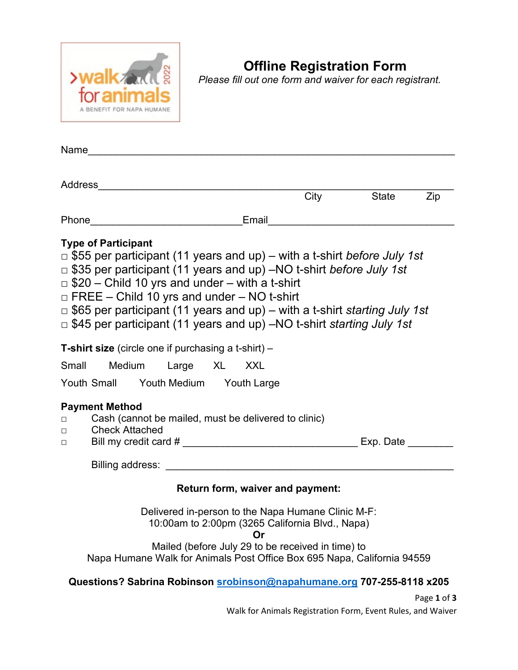

# **Offline Registration Form**

*Please fill out one form and waiver for each registrant.* 

|                                                                                                                            |                                                                                                                                                                                                                                                                                       |                                                    |  |                                  |  | City State                                                                                                                                                                                                                                        | Zip |
|----------------------------------------------------------------------------------------------------------------------------|---------------------------------------------------------------------------------------------------------------------------------------------------------------------------------------------------------------------------------------------------------------------------------------|----------------------------------------------------|--|----------------------------------|--|---------------------------------------------------------------------------------------------------------------------------------------------------------------------------------------------------------------------------------------------------|-----|
|                                                                                                                            |                                                                                                                                                                                                                                                                                       |                                                    |  |                                  |  |                                                                                                                                                                                                                                                   |     |
|                                                                                                                            | <b>Type of Participant</b><br>$\Box$ \$35 per participant (11 years and up) –NO t-shirt before July 1st<br>$\Box$ \$20 – Child 10 yrs and under – with a t-shirt<br>$\Box$ FREE – Child 10 yrs and under – NO t-shirt<br><b>T-shirt size</b> (circle one if purchasing a t-shirt) $-$ |                                                    |  |                                  |  | $\Box$ \$55 per participant (11 years and up) – with a t-shirt before July 1st<br>$\Box$ \$65 per participant (11 years and up) – with a t-shirt starting July 1st<br>$\Box$ \$45 per participant (11 years and up) –NO t-shirt starting July 1st |     |
| Small Medium Large XL XXL                                                                                                  |                                                                                                                                                                                                                                                                                       |                                                    |  |                                  |  |                                                                                                                                                                                                                                                   |     |
|                                                                                                                            | Youth Small Youth Medium Youth Large                                                                                                                                                                                                                                                  |                                                    |  |                                  |  |                                                                                                                                                                                                                                                   |     |
| <b>Payment Method</b><br>Cash (cannot be mailed, must be delivered to clinic)<br>П<br><b>Check Attached</b><br>$\Box$<br>□ |                                                                                                                                                                                                                                                                                       |                                                    |  |                                  |  |                                                                                                                                                                                                                                                   |     |
|                                                                                                                            |                                                                                                                                                                                                                                                                                       |                                                    |  |                                  |  |                                                                                                                                                                                                                                                   |     |
|                                                                                                                            |                                                                                                                                                                                                                                                                                       |                                                    |  | Return form, waiver and payment: |  |                                                                                                                                                                                                                                                   |     |
|                                                                                                                            |                                                                                                                                                                                                                                                                                       | Delivered in-person to the Napa Humane Clinic M-F: |  |                                  |  |                                                                                                                                                                                                                                                   |     |

10:00am to 2:00pm (3265 California Blvd., Napa)

**Or**

Mailed (before July 29 to be received in time) to Napa Humane Walk for Animals Post Office Box 695 Napa, California 94559

### **Questions? Sabrina Robinson [srobinson@napahumane.org](mailto:srobinson@napahumane.org) 707-255-8118 x205**

Page **1** of **3** Walk for Animals Registration Form, Event Rules, and Waiver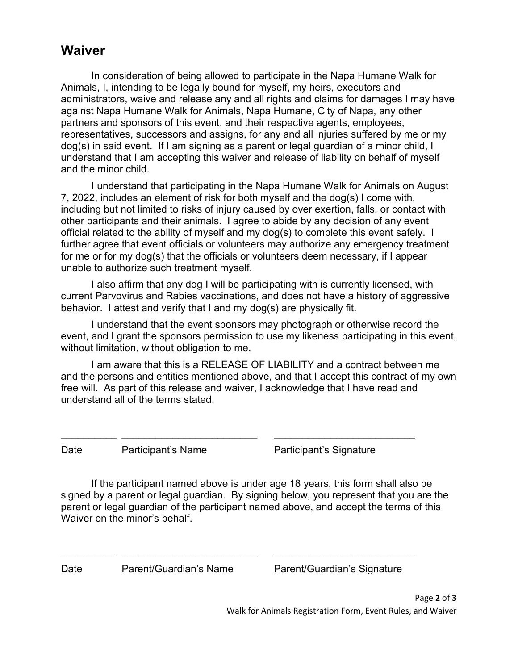### **Waiver**

In consideration of being allowed to participate in the Napa Humane Walk for Animals, I, intending to be legally bound for myself, my heirs, executors and administrators, waive and release any and all rights and claims for damages I may have against Napa Humane Walk for Animals, Napa Humane, City of Napa, any other partners and sponsors of this event, and their respective agents, employees, representatives, successors and assigns, for any and all injuries suffered by me or my dog(s) in said event. If I am signing as a parent or legal guardian of a minor child, I understand that I am accepting this waiver and release of liability on behalf of myself and the minor child.

I understand that participating in the Napa Humane Walk for Animals on August 7, 2022, includes an element of risk for both myself and the dog(s) I come with, including but not limited to risks of injury caused by over exertion, falls, or contact with other participants and their animals. I agree to abide by any decision of any event official related to the ability of myself and my dog(s) to complete this event safely. I further agree that event officials or volunteers may authorize any emergency treatment for me or for my dog(s) that the officials or volunteers deem necessary, if I appear unable to authorize such treatment myself.

I also affirm that any dog I will be participating with is currently licensed, with current Parvovirus and Rabies vaccinations, and does not have a history of aggressive behavior. I attest and verify that I and my dog(s) are physically fit.

I understand that the event sponsors may photograph or otherwise record the event, and I grant the sponsors permission to use my likeness participating in this event, without limitation, without obligation to me.

I am aware that this is a RELEASE OF LIABILITY and a contract between me and the persons and entities mentioned above, and that I accept this contract of my own free will. As part of this release and waiver, I acknowledge that I have read and understand all of the terms stated.

Date Participant's Name Participant's Signature

If the participant named above is under age 18 years, this form shall also be signed by a parent or legal guardian. By signing below, you represent that you are the parent or legal guardian of the participant named above, and accept the terms of this Waiver on the minor's behalf.

\_\_\_\_\_\_\_\_\_\_ \_\_\_\_\_\_\_\_\_\_\_\_\_\_\_\_\_\_\_\_\_\_\_\_ \_\_\_\_\_\_\_\_\_\_\_\_\_\_\_\_\_\_\_\_\_\_\_\_\_

\_\_\_\_\_\_\_\_\_\_ \_\_\_\_\_\_\_\_\_\_\_\_\_\_\_\_\_\_\_\_\_\_\_\_ \_\_\_\_\_\_\_\_\_\_\_\_\_\_\_\_\_\_\_\_\_\_\_\_\_

Date Parent/Guardian's Name Parent/Guardian's Signature